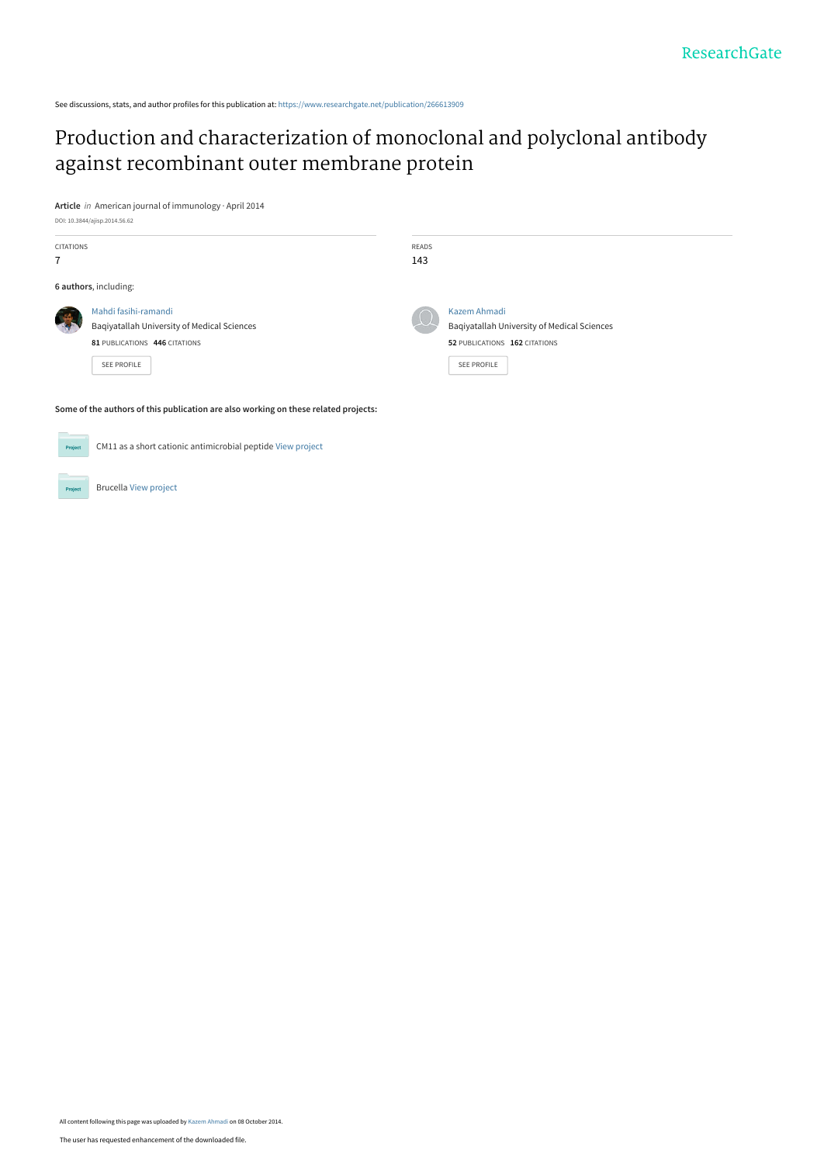See discussions, stats, and author profiles for this publication at: [https://www.researchgate.net/publication/266613909](https://www.researchgate.net/publication/266613909_Production_and_characterization_of_monoclonal_and_polyclonal_antibody_against_recombinant_outer_membrane_protein?enrichId=rgreq-fa50021eed6bb2bed4904b60ead4d40f-XXX&enrichSource=Y292ZXJQYWdlOzI2NjYxMzkwOTtBUzoxNTAwMDMyMDA4MjczOTJAMTQxMjc3NDk1ODMwOQ%3D%3D&el=1_x_2&_esc=publicationCoverPdf)

# [Production and characterization of monoclonal and polyclonal antibody](https://www.researchgate.net/publication/266613909_Production_and_characterization_of_monoclonal_and_polyclonal_antibody_against_recombinant_outer_membrane_protein?enrichId=rgreq-fa50021eed6bb2bed4904b60ead4d40f-XXX&enrichSource=Y292ZXJQYWdlOzI2NjYxMzkwOTtBUzoxNTAwMDMyMDA4MjczOTJAMTQxMjc3NDk1ODMwOQ%3D%3D&el=1_x_3&_esc=publicationCoverPdf) against recombinant outer membrane protein

**Article** in American journal of immunology · April 2014 DOI: 10.3844/ajisp.2014.56.62

| <b>CITATIONS</b>      |                                                                     | READS                     |                                                             |  |
|-----------------------|---------------------------------------------------------------------|---------------------------|-------------------------------------------------------------|--|
| $\overline{7}$        |                                                                     | 143                       |                                                             |  |
| 6 authors, including: |                                                                     |                           |                                                             |  |
|                       | Mahdi fasihi-ramandi<br>Baqiyatallah University of Medical Sciences | $\langle \, . \, \rangle$ | Kazem Ahmadi<br>Bagiyatallah University of Medical Sciences |  |
|                       | 81 PUBLICATIONS 446 CITATIONS                                       |                           | 52 PUBLICATIONS 162 CITATIONS                               |  |
|                       | <b>SEE PROFILE</b>                                                  |                           | SEE PROFILE                                                 |  |
|                       |                                                                     |                           |                                                             |  |

**Some of the authors of this publication are also working on these related projects:**

| Project | CM11 as a short cationic antimicrobial peptide View project |  |
|---------|-------------------------------------------------------------|--|
|         |                                                             |  |
| Project | <b>Brucella View project</b>                                |  |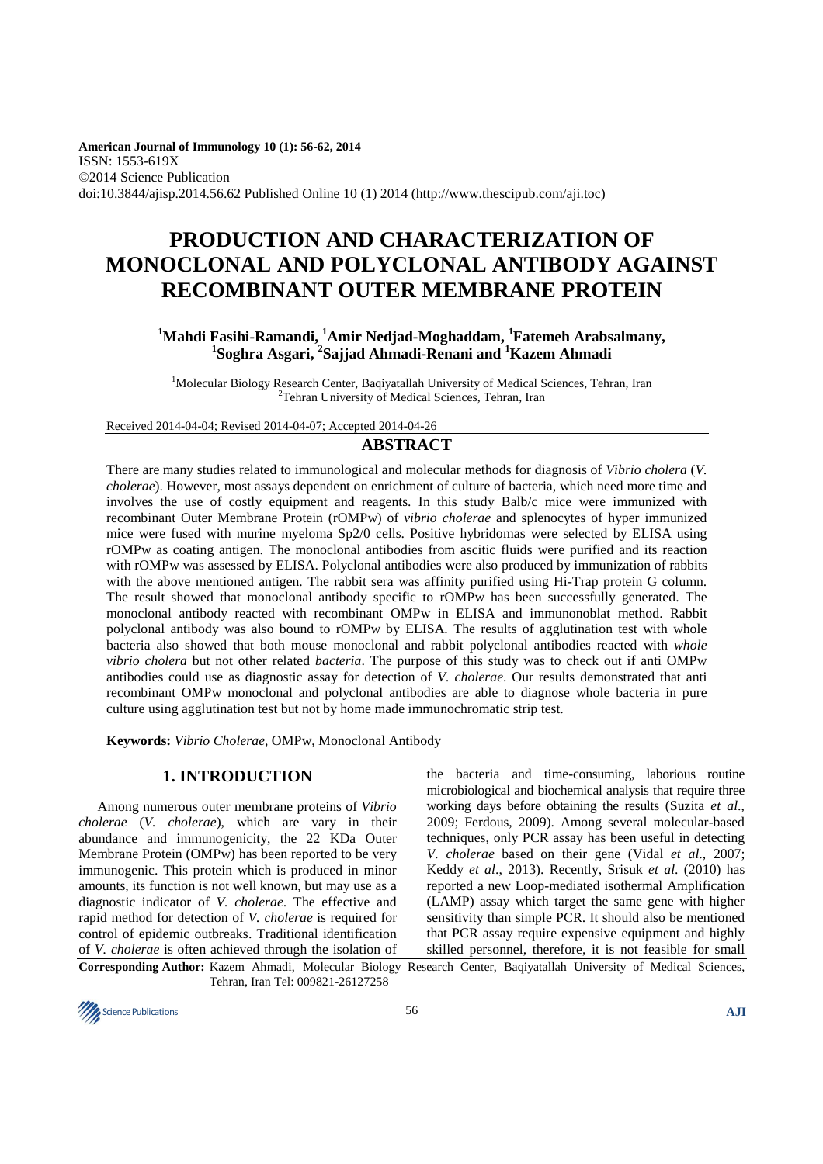**American Journal of Immunology 10 (1): 56-62, 2014**  ISSN: 1553-619X ©2014 Science Publication doi:10.3844/ajisp.2014.56.62 Published Online 10 (1) 2014 (http://www.thescipub.com/aji.toc)

# **PRODUCTION AND CHARACTERIZATION OF MONOCLONAL AND POLYCLONAL ANTIBODY AGAINST RECOMBINANT OUTER MEMBRANE PROTEIN**

# **<sup>1</sup>Mahdi Fasihi-Ramandi, <sup>1</sup>Amir Nedjad-Moghaddam, <sup>1</sup>Fatemeh Arabsalmany, 1 Soghra Asgari, <sup>2</sup> Sajjad Ahmadi-Renani and <sup>1</sup>Kazem Ahmadi**

<sup>1</sup>Molecular Biology Research Center, Baqiyatallah University of Medical Sciences, Tehran, Iran <sup>2</sup>Tehran University of Medical Sciences, Tehran, Iran

Received 2014-04-04; Revised 2014-04-07; Accepted 2014-04-26

# **ABSTRACT**

There are many studies related to immunological and molecular methods for diagnosis of *Vibrio cholera* (*V. cholerae*). However, most assays dependent on enrichment of culture of bacteria, which need more time and involves the use of costly equipment and reagents. In this study Balb/c mice were immunized with recombinant Outer Membrane Protein (rOMPw) of *vibrio cholerae* and splenocytes of hyper immunized mice were fused with murine myeloma Sp2/0 cells. Positive hybridomas were selected by ELISA using rOMPw as coating antigen. The monoclonal antibodies from ascitic fluids were purified and its reaction with rOMPw was assessed by ELISA. Polyclonal antibodies were also produced by immunization of rabbits with the above mentioned antigen. The rabbit sera was affinity purified using Hi-Trap protein G column. The result showed that monoclonal antibody specific to rOMPw has been successfully generated. The monoclonal antibody reacted with recombinant OMPw in ELISA and immunonoblat method. Rabbit polyclonal antibody was also bound to rOMPw by ELISA. The results of agglutination test with whole bacteria also showed that both mouse monoclonal and rabbit polyclonal antibodies reacted with *whole vibrio cholera* but not other related *bacteria*. The purpose of this study was to check out if anti OMPw antibodies could use as diagnostic assay for detection of *V. cholerae*. Our results demonstrated that anti recombinant OMPw monoclonal and polyclonal antibodies are able to diagnose whole bacteria in pure culture using agglutination test but not by home made immunochromatic strip test.

**Keywords:** *Vibrio Cholerae*, OMPw, Monoclonal Antibody

# **1. INTRODUCTION**

Among numerous outer membrane proteins of *Vibrio cholerae* (*V. cholerae*), which are vary in their abundance and immunogenicity, the 22 KDa Outer Membrane Protein (OMPw) has been reported to be very immunogenic. This protein which is produced in minor amounts, its function is not well known, but may use as a diagnostic indicator of *V. cholerae*. The effective and rapid method for detection of *V. cholerae* is required for control of epidemic outbreaks. Traditional identification of *V. cholerae* is often achieved through the isolation of the bacteria and time-consuming, laborious routine microbiological and biochemical analysis that require three working days before obtaining the results (Suzita *et al*., 2009; Ferdous, 2009). Among several molecular-based techniques, only PCR assay has been useful in detecting *V. cholerae* based on their gene (Vidal *et al*., 2007; Keddy *et al*., 2013). Recently, Srisuk *et al*. (2010) has reported a new Loop-mediated isothermal Amplification (LAMP) assay which target the same gene with higher sensitivity than simple PCR. It should also be mentioned that PCR assay require expensive equipment and highly skilled personnel, therefore, it is not feasible for small

**Corresponding Author:** Kazem Ahmadi, Molecular Biology Research Center, Baqiyatallah University of Medical Sciences, Tehran, Iran Tel: 009821-26127258

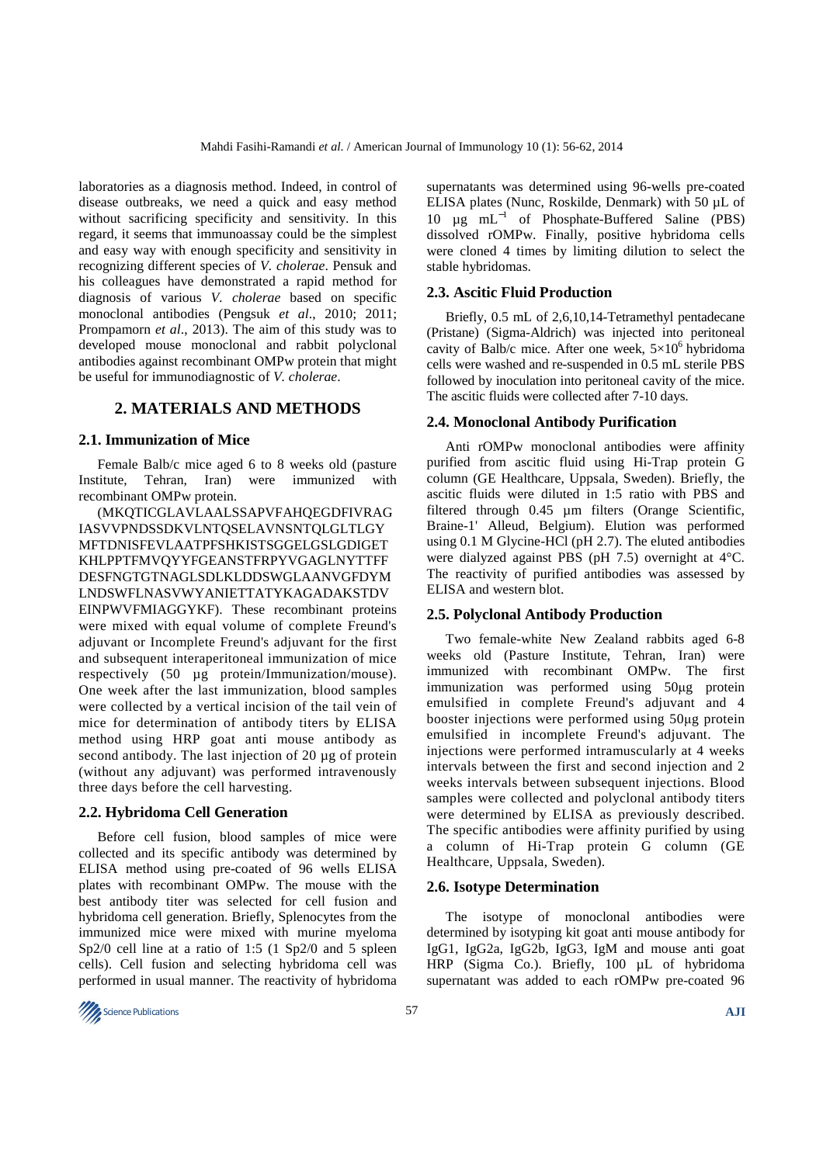laboratories as a diagnosis method. Indeed, in control of disease outbreaks, we need a quick and easy method without sacrificing specificity and sensitivity. In this regard, it seems that immunoassay could be the simplest and easy way with enough specificity and sensitivity in recognizing different species of *V. cholerae*. Pensuk and his colleagues have demonstrated a rapid method for diagnosis of various *V. cholerae* based on specific monoclonal antibodies (Pengsuk *et al*., 2010; 2011; Prompamorn *et al*., 2013). The aim of this study was to developed mouse monoclonal and rabbit polyclonal antibodies against recombinant OMPw protein that might be useful for immunodiagnostic of *V. cholerae*.

# **2. MATERIALS AND METHODS**

### **2.1. Immunization of Mice**

Female Balb/c mice aged 6 to 8 weeks old (pasture Institute, Tehran, Iran) were immunized with recombinant OMPw protein.

(MKQTICGLAVLAALSSAPVFAHQEGDFIVRAG IASVVPNDSSDKVLNTQSELAVNSNTQLGLTLGY MFTDNISFEVLAATPFSHKISTSGGELGSLGDIGET KHLPPTFMVQYYFGEANSTFRPYVGAGLNYTTFF DESFNGTGTNAGLSDLKLDDSWGLAANVGFDYM LNDSWFLNASVWYANIETTATYKAGADAKSTDV EINPWVFMIAGGYKF). These recombinant proteins were mixed with equal volume of complete Freund's adjuvant or Incomplete Freund's adjuvant for the first and subsequent interaperitoneal immunization of mice respectively (50 µg protein/Immunization/mouse). One week after the last immunization, blood samples were collected by a vertical incision of the tail vein of mice for determination of antibody titers by ELISA method using HRP goat anti mouse antibody as second antibody. The last injection of 20 µg of protein (without any adjuvant) was performed intravenously three days before the cell harvesting.

# **2.2. Hybridoma Cell Generation**

Before cell fusion, blood samples of mice were collected and its specific antibody was determined by ELISA method using pre-coated of 96 wells ELISA plates with recombinant OMPw. The mouse with the best antibody titer was selected for cell fusion and hybridoma cell generation. Briefly, Splenocytes from the immunized mice were mixed with murine myeloma Sp2/0 cell line at a ratio of 1:5 (1 Sp2/0 and 5 spleen cells). Cell fusion and selecting hybridoma cell was performed in usual manner. The reactivity of hybridoma supernatants was determined using 96-wells pre-coated ELISA plates (Nunc, Roskilde, Denmark) with 50 µL of 10 µg mL<sup>−</sup><sup>1</sup> of Phosphate-Buffered Saline (PBS) dissolved rOMPw. Finally, positive hybridoma cells were cloned 4 times by limiting dilution to select the stable hybridomas.

#### **2.3. Ascitic Fluid Production**

Briefly, 0.5 mL of 2,6,10,14-Tetramethyl pentadecane (Pristane) (Sigma-Aldrich) was injected into peritoneal cavity of Balb/c mice. After one week,  $5\times10^6$  hybridoma cells were washed and re-suspended in 0.5 mL sterile PBS followed by inoculation into peritoneal cavity of the mice. The ascitic fluids were collected after 7-10 days.

#### **2.4. Monoclonal Antibody Purification**

Anti rOMPw monoclonal antibodies were affinity purified from ascitic fluid using Hi-Trap protein G column (GE Healthcare, Uppsala, Sweden). Briefly, the ascitic fluids were diluted in 1:5 ratio with PBS and filtered through 0.45 µm filters (Orange Scientific, Braine-1' Alleud, Belgium). Elution was performed using 0.1 M Glycine-HCl (pH 2.7). The eluted antibodies were dialyzed against PBS (pH 7.5) overnight at 4°C. The reactivity of purified antibodies was assessed by ELISA and western blot.

#### **2.5. Polyclonal Antibody Production**

Two female-white New Zealand rabbits aged 6-8 weeks old (Pasture Institute, Tehran, Iran) were immunized with recombinant OMPw. The first immunization was performed using 50µg protein emulsified in complete Freund's adjuvant and 4 booster injections were performed using 50µg protein emulsified in incomplete Freund's adjuvant. The injections were performed intramuscularly at 4 weeks intervals between the first and second injection and 2 weeks intervals between subsequent injections. Blood samples were collected and polyclonal antibody titers were determined by ELISA as previously described. The specific antibodies were affinity purified by using a column of Hi-Trap protein G column (GE Healthcare, Uppsala, Sweden).

### **2.6. Isotype Determination**

The isotype of monoclonal antibodies were determined by isotyping kit goat anti mouse antibody for IgG1, IgG2a, IgG2b, IgG3, IgM and mouse anti goat HRP (Sigma Co.). Briefly, 100 µL of hybridoma supernatant was added to each rOMPw pre-coated 96

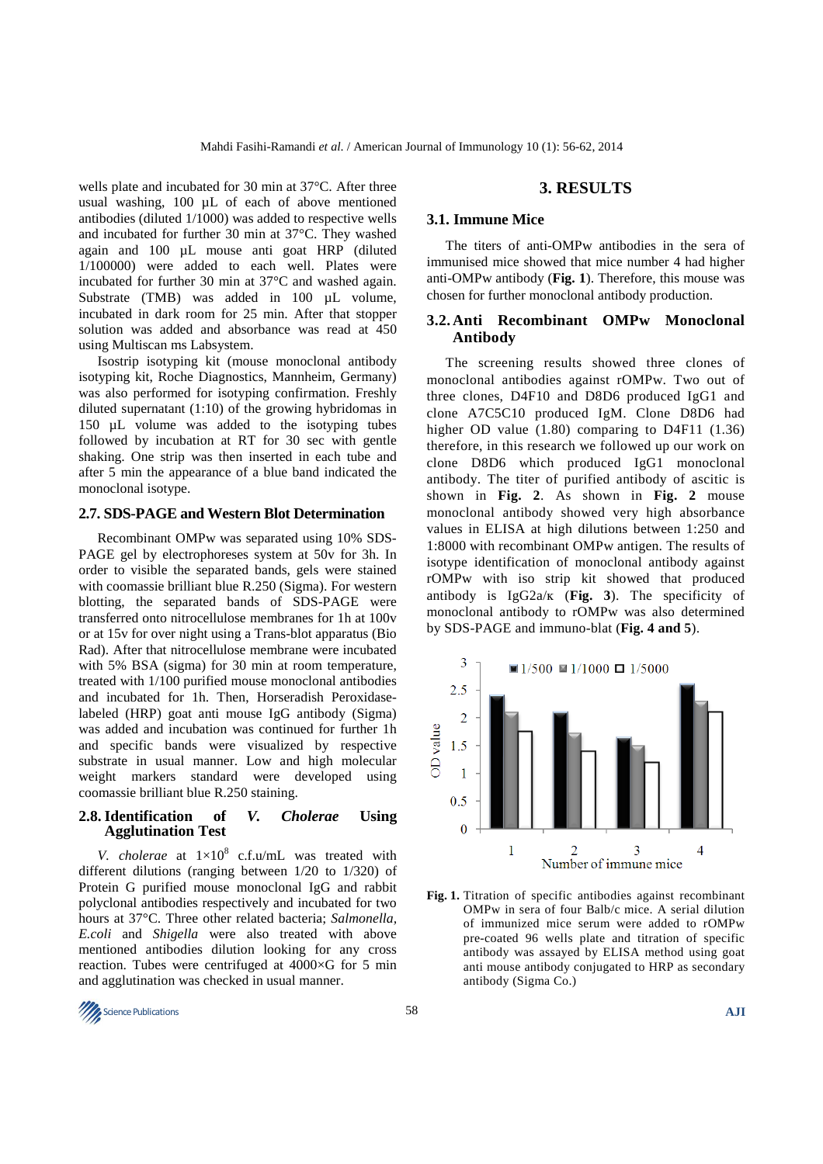wells plate and incubated for 30 min at 37°C. After three usual washing, 100 µL of each of above mentioned antibodies (diluted 1/1000) was added to respective wells and incubated for further 30 min at 37°C. They washed again and 100 µL mouse anti goat HRP (diluted 1/100000) were added to each well. Plates were incubated for further 30 min at 37°C and washed again. Substrate (TMB) was added in 100 µL volume, incubated in dark room for 25 min. After that stopper solution was added and absorbance was read at 450 using Multiscan ms Labsystem.

Isostrip isotyping kit (mouse monoclonal antibody isotyping kit, Roche Diagnostics, Mannheim, Germany) was also performed for isotyping confirmation. Freshly diluted supernatant (1:10) of the growing hybridomas in 150 µL volume was added to the isotyping tubes followed by incubation at RT for 30 sec with gentle shaking. One strip was then inserted in each tube and after 5 min the appearance of a blue band indicated the monoclonal isotype.

#### **2.7. SDS-PAGE and Western Blot Determination**

Recombinant OMPw was separated using 10% SDS-PAGE gel by electrophoreses system at 50v for 3h. In order to visible the separated bands, gels were stained with coomassie brilliant blue R.250 (Sigma). For western blotting, the separated bands of SDS-PAGE were transferred onto nitrocellulose membranes for 1h at 100v or at 15v for over night using a Trans-blot apparatus (Bio Rad). After that nitrocellulose membrane were incubated with 5% BSA (sigma) for 30 min at room temperature, treated with 1/100 purified mouse monoclonal antibodies and incubated for 1h. Then, Horseradish Peroxidaselabeled (HRP) goat anti mouse IgG antibody (Sigma) was added and incubation was continued for further 1h and specific bands were visualized by respective substrate in usual manner. Low and high molecular weight markers standard were developed using coomassie brilliant blue R.250 staining.

### **2.8. Identification of** *V. Cholerae* **Using Agglutination Test**

*V. cholerae* at  $1 \times 10^8$  c.f.u/mL was treated with different dilutions (ranging between 1/20 to 1/320) of Protein G purified mouse monoclonal IgG and rabbit polyclonal antibodies respectively and incubated for two hours at 37°C. Three other related bacteria; *Salmonella, E.coli* and *Shigella* were also treated with above mentioned antibodies dilution looking for any cross reaction. Tubes were centrifuged at 4000×G for 5 min and agglutination was checked in usual manner.

#### **3. RESULTS**

#### **3.1. Immune Mice**

The titers of anti-OMPw antibodies in the sera of immunised mice showed that mice number 4 had higher anti-OMPw antibody (**Fig. 1**). Therefore, this mouse was chosen for further monoclonal antibody production.

## **3.2. Anti Recombinant OMPw Monoclonal Antibody**

The screening results showed three clones of monoclonal antibodies against rOMPw. Two out of three clones, D4F10 and D8D6 produced IgG1 and clone A7C5C10 produced IgM. Clone D8D6 had higher OD value (1.80) comparing to D4F11 (1.36) therefore, in this research we followed up our work on clone D8D6 which produced IgG1 monoclonal antibody. The titer of purified antibody of ascitic is shown in **Fig. 2**. As shown in **Fig. 2** mouse monoclonal antibody showed very high absorbance values in ELISA at high dilutions between 1:250 and 1:8000 with recombinant OMPw antigen. The results of isotype identification of monoclonal antibody against rOMPw with iso strip kit showed that produced antibody is IgG2a/ĸ (**Fig. 3**). The specificity of monoclonal antibody to rOMPw was also determined by SDS-PAGE and immuno-blat (**Fig. 4 and 5**).



**Fig. 1.** Titration of specific antibodies against recombinant OMPw in sera of four Balb/c mice. A serial dilution of immunized mice serum were added to rOMPw pre-coated 96 wells plate and titration of specific antibody was assayed by ELISA method using goat anti mouse antibody conjugated to HRP as secondary antibody (Sigma Co.)

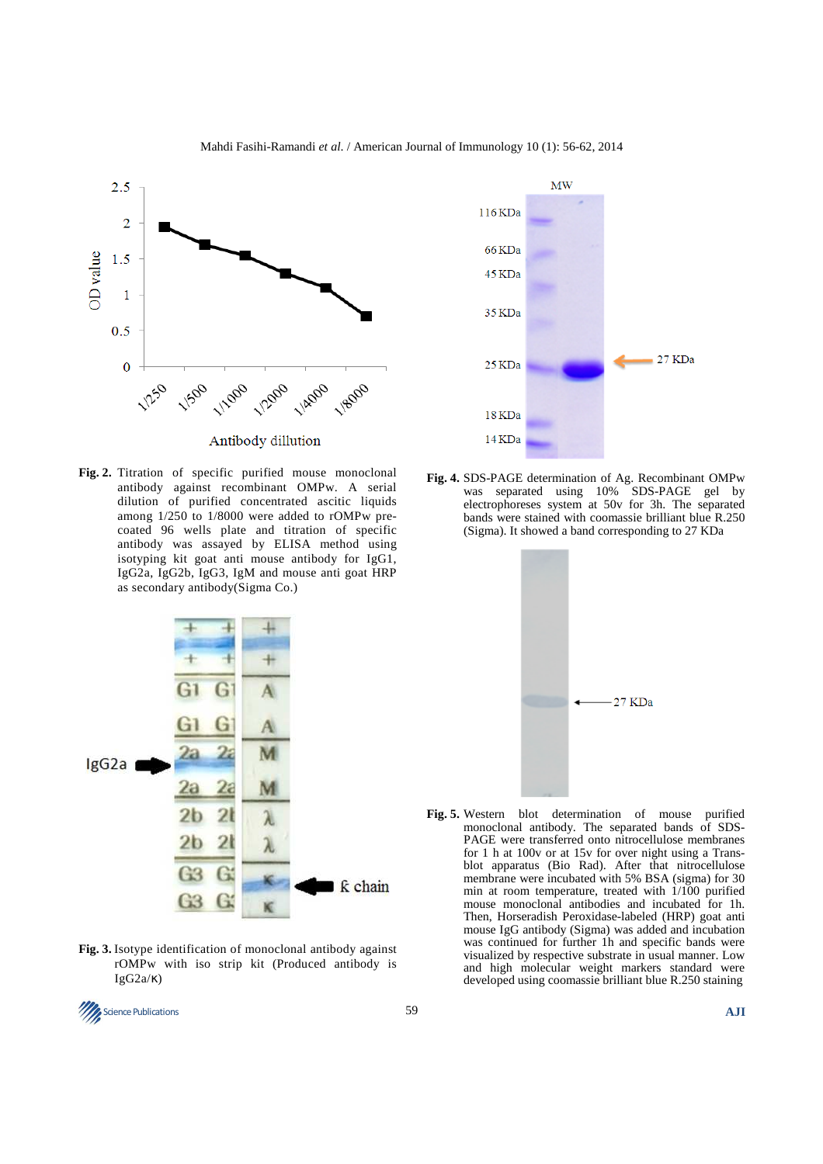

Mahdi Fasihi-Ramandi *et al*. / American Journal of Immunology 10 (1): 56-62, 2014

**Fig. 2.** Titration of specific purified mouse monoclonal antibody against recombinant OMPw. A serial dilution of purified concentrated ascitic liquids among 1/250 to 1/8000 were added to rOMPw precoated 96 wells plate and titration of specific antibody was assayed by ELISA method using isotyping kit goat anti mouse antibody for IgG1, IgG2a, IgG2b, IgG3, IgM and mouse anti goat HRP as secondary antibody(Sigma Co.)



**Fig. 3.** Isotype identification of monoclonal antibody against rOMPw with iso strip kit (Produced antibody is IgG2a/κ)



**Fig. 4.** SDS-PAGE determination of Ag. Recombinant OMPw was separated using 10% SDS-PAGE gel by electrophoreses system at 50v for 3h. The separated bands were stained with coomassie brilliant blue R.250 (Sigma). It showed a band corresponding to 27 KDa



**Fig. 5.** Western blot determination of mouse purified monoclonal antibody. The separated bands of SDS-PAGE were transferred onto nitrocellulose membranes for 1 h at 100v or at 15v for over night using a Transblot apparatus (Bio Rad). After that nitrocellulose membrane were incubated with 5% BSA (sigma) for 30 min at room temperature, treated with 1/100 purified mouse monoclonal antibodies and incubated for 1h. Then, Horseradish Peroxidase-labeled (HRP) goat anti mouse IgG antibody (Sigma) was added and incubation was continued for further 1h and specific bands were visualized by respective substrate in usual manner. Low and high molecular weight markers standard were developed using coomassie brilliant blue R.250 staining

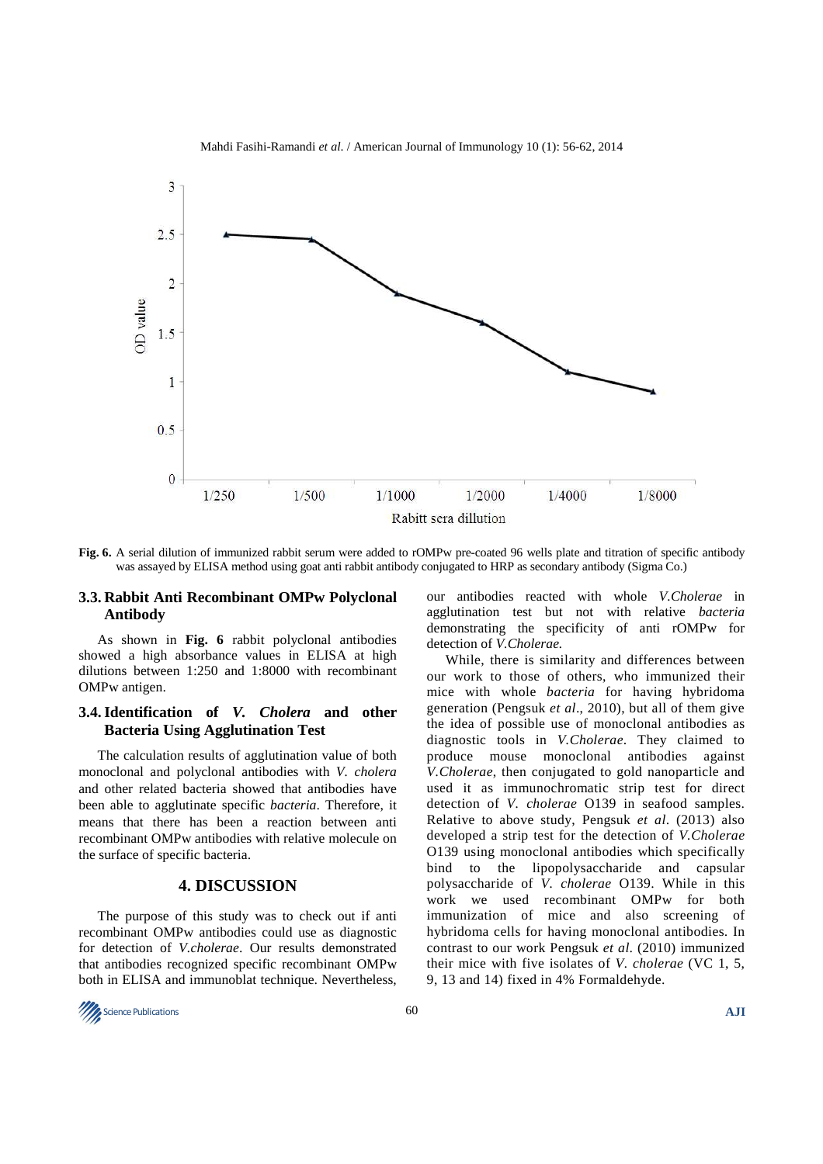

Mahdi Fasihi-Ramandi *et al*. / American Journal of Immunology 10 (1): 56-62, 2014

**Fig. 6.** A serial dilution of immunized rabbit serum were added to rOMPw pre-coated 96 wells plate and titration of specific antibody was assayed by ELISA method using goat anti rabbit antibody conjugated to HRP as secondary antibody (Sigma Co.)

## **3.3. Rabbit Anti Recombinant OMPw Polyclonal Antibody**

As shown in **Fig. 6** rabbit polyclonal antibodies showed a high absorbance values in ELISA at high dilutions between 1:250 and 1:8000 with recombinant OMPw antigen.

## **3.4. Identification of** *V. Cholera* **and other Bacteria Using Agglutination Test**

The calculation results of agglutination value of both monoclonal and polyclonal antibodies with *V. cholera* and other related bacteria showed that antibodies have been able to agglutinate specific *bacteria*. Therefore, it means that there has been a reaction between anti recombinant OMPw antibodies with relative molecule on the surface of specific bacteria.

## **4. DISCUSSION**

The purpose of this study was to check out if anti recombinant OMPw antibodies could use as diagnostic for detection of *V.cholerae*. Our results demonstrated that antibodies recognized specific recombinant OMPw both in ELISA and immunoblat technique. Nevertheless, our antibodies reacted with whole *V.Cholerae* in agglutination test but not with relative *bacteria*  demonstrating the specificity of anti rOMPw for detection of *V.Cholerae.*

While, there is similarity and differences between our work to those of others, who immunized their mice with whole *bacteria* for having hybridoma generation (Pengsuk *et al*., 2010), but all of them give the idea of possible use of monoclonal antibodies as diagnostic tools in *V.Cholerae*. They claimed to produce mouse monoclonal antibodies against *V.Cholerae*, then conjugated to gold nanoparticle and used it as immunochromatic strip test for direct detection of *V. cholerae* O139 in seafood samples. Relative to above study, Pengsuk *et al*. (2013) also developed a strip test for the detection of *V.Cholerae* O139 using monoclonal antibodies which specifically bind to the lipopolysaccharide and capsular polysaccharide of *V. cholerae* O139. While in this work we used recombinant OMPw for both immunization of mice and also screening of hybridoma cells for having monoclonal antibodies. In contrast to our work Pengsuk *et al*. (2010) immunized their mice with five isolates of *V. cholerae* (VC 1, 5, 9, 13 and 14) fixed in 4% Formaldehyde.

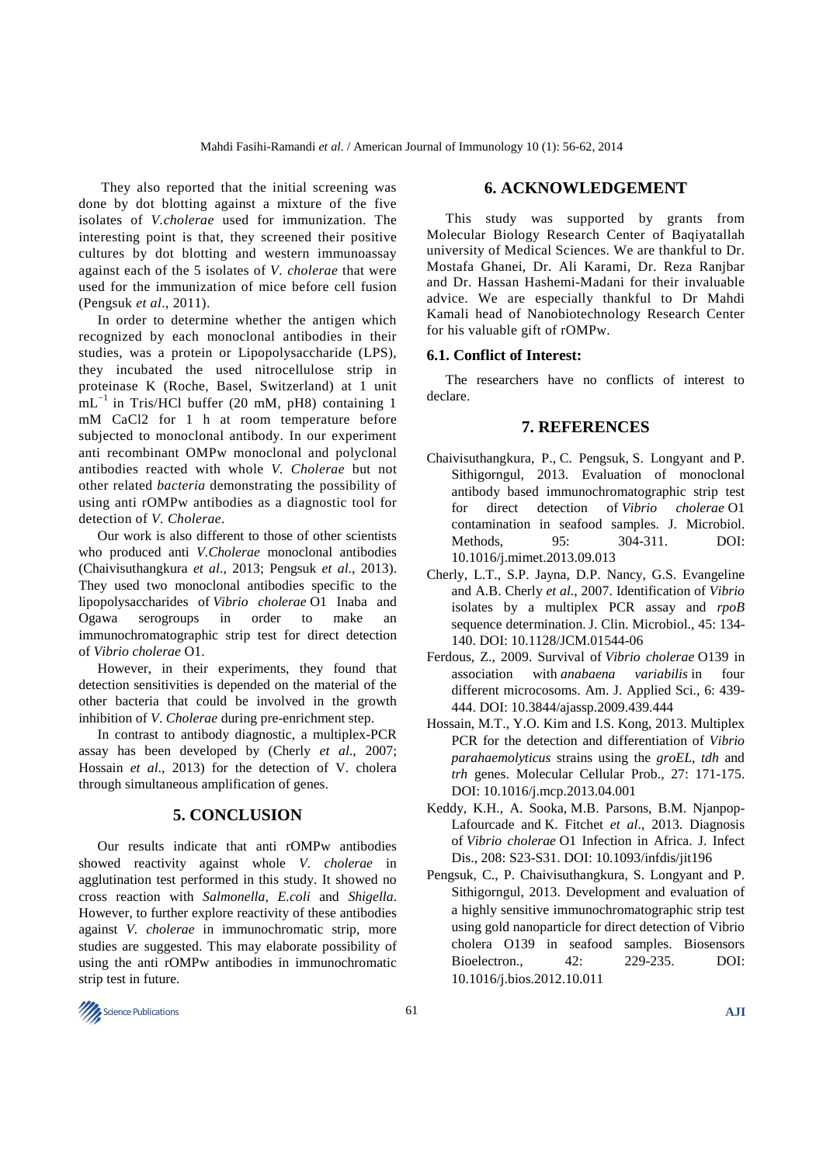They also reported that the initial screening was done by dot blotting against a mixture of the five isolates of *V.cholerae* used for immunization. The interesting point is that, they screened their positive cultures by dot blotting and western immunoassay against each of the 5 isolates of *V. cholerae* that were used for the immunization of mice before cell fusion (Pengsuk *et al*., 2011).

In order to determine whether the antigen which recognized by each monoclonal antibodies in their studies, was a protein or Lipopolysaccharide (LPS), they incubated the used nitrocellulose strip in proteinase K (Roche, Basel, Switzerland) at 1 unit  $mL^{-1}$  in Tris/HCl buffer (20 mM, pH8) containing 1 mM CaCl2 for 1 h at room temperature before subjected to monoclonal antibody. In our experiment anti recombinant OMPw monoclonal and polyclonal antibodies reacted with whole *V. Cholerae* but not other related *bacteria* demonstrating the possibility of using anti rOMPw antibodies as a diagnostic tool for detection of *V. Cholerae*.

Our work is also different to those of other scientists who produced anti *V.Cholerae* monoclonal antibodies (Chaivisuthangkura *et al*., 2013; Pengsuk *et al*., 2013). They used two monoclonal antibodies specific to the lipopolysaccharides of *Vibrio cholerae* O1 Inaba and Ogawa serogroups in order to make an immunochromatographic strip test for direct detection of *Vibrio cholerae* O1.

However, in their experiments, they found that detection sensitivities is depended on the material of the other bacteria that could be involved in the growth inhibition of *V*. *Cholerae* during pre-enrichment step.

In contrast to antibody diagnostic, a multiplex-PCR assay has been developed by (Cherly *et al*., 2007; Hossain *et al*., 2013) for the detection of V. cholera through simultaneous amplification of genes.

## **5. CONCLUSION**

Our results indicate that anti rOMPw antibodies showed reactivity against whole *V. cholerae* in agglutination test performed in this study. It showed no cross reaction with *Salmonella, E.coli* and *Shigella*. However, to further explore reactivity of these antibodies against *V. cholerae* in immunochromatic strip, more studies are suggested. This may elaborate possibility of using the anti rOMPw antibodies in immunochromatic strip test in future.

## **6. ACKNOWLEDGEMENT**

This study was supported by grants from Molecular Biology Research Center of Baqiyatallah university of Medical Sciences. We are thankful to Dr. Mostafa Ghanei, Dr. Ali Karami, Dr. Reza Ranjbar and Dr. Hassan Hashemi-Madani for their invaluable advice. We are especially thankful to Dr Mahdi Kamali head of Nanobiotechnology Research Center for his valuable gift of rOMPw.

#### **6.1. Conflict of Interest:**

The researchers have no conflicts of interest to declare.

#### **7. REFERENCES**

- Chaivisuthangkura, P., C. Pengsuk, S. Longyant and P. Sithigorngul, 2013. Evaluation of monoclonal antibody based immunochromatographic strip test for direct detection of *Vibrio cholerae* O1 contamination in seafood samples. J. Microbiol. Methods, 95: 304-311. DOI: 10.1016/j.mimet.2013.09.013
- Cherly, L.T., S.P. Jayna, D.P. Nancy, G.S. Evangeline and A.B. Cherly *et al*., 2007. Identification of *Vibrio* isolates by a multiplex PCR assay and *rpoB* sequence determination.J. Clin. Microbiol., 45: 134- 140. DOI: 10.1128/JCM.01544-06
- Ferdous, Z., 2009. Survival of *Vibrio cholerae* O139 in association with *anabaena variabilis* in four different microcosoms. Am. J. Applied Sci., 6: 439- 444. DOI: 10.3844/ajassp.2009.439.444
- Hossain, M.T., Y.O. Kim and I.S. Kong, 2013. Multiplex PCR for the detection and differentiation of *Vibrio parahaemolyticus* strains using the *groEL*, *tdh* and *trh* genes. Molecular Cellular Prob., 27: 171-175. DOI: 10.1016/j.mcp.2013.04.001
- Keddy, K.H., A. Sooka, M.B. Parsons, B.M. Njanpop-Lafourcade and K. Fitchet *et al*., 2013. Diagnosis of *Vibrio cholerae* O1 Infection in Africa. J. Infect Dis., 208: S23-S31. DOI: 10.1093/infdis/jit196
- Pengsuk, C., P. Chaivisuthangkura, S. Longyant and P. Sithigorngul, 2013. Development and evaluation of a highly sensitive immunochromatographic strip test using gold nanoparticle for direct detection of Vibrio cholera O139 in seafood samples. Biosensors Bioelectron., 42: 229-235. DOI: 10.1016/j.bios.2012.10.011